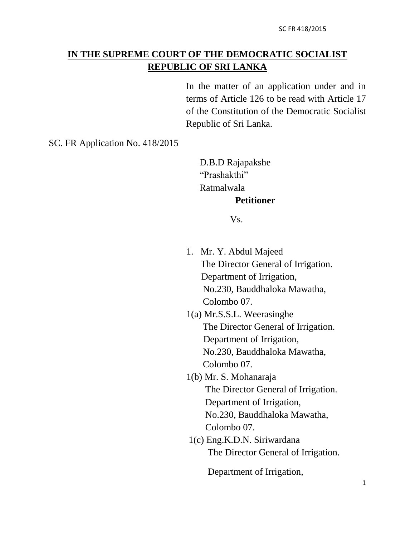# **IN THE SUPREME COURT OF THE DEMOCRATIC SOCIALIST REPUBLIC OF SRI LANKA**

In the matter of an application under and in terms of Article 126 to be read with Article 17 of the Constitution of the Democratic Socialist Republic of Sri Lanka.

SC. FR Application No. 418/2015

D.B.D Rajapakshe "Prashakthi" Ratmalwala **Petitioner**

Vs.

- 1. Mr. Y. Abdul Majeed The Director General of Irrigation. Department of Irrigation, No.230, Bauddhaloka Mawatha, Colombo 07.
- 1(a) Mr.S.S.L. Weerasinghe The Director General of Irrigation. Department of Irrigation, No.230, Bauddhaloka Mawatha, Colombo 07.
- 1(b) Mr. S. Mohanaraja The Director General of Irrigation. Department of Irrigation, No.230, Bauddhaloka Mawatha, Colombo 07.
- 1(c) Eng.K.D.N. Siriwardana The Director General of Irrigation.

Department of Irrigation,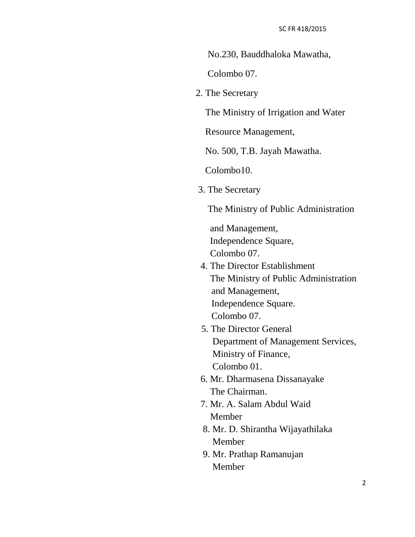No.230, Bauddhaloka Mawatha,

Colombo 07.

2. The Secretary

The Ministry of Irrigation and Water

Resource Management,

No. 500, T.B. Jayah Mawatha.

Colombo10.

3. The Secretary

The Ministry of Public Administration

 and Management, Independence Square, Colombo 07.

- 4. The Director Establishment The Ministry of Public Administration and Management, Independence Square. Colombo 07.
- 5. The Director General Department of Management Services, Ministry of Finance, Colombo 01.
- 6. Mr. Dharmasena Dissanayake The Chairman.
- 7. Mr. A. Salam Abdul Waid Member
- 8. Mr. D. Shirantha Wijayathilaka Member
- 9. Mr. Prathap Ramanujan Member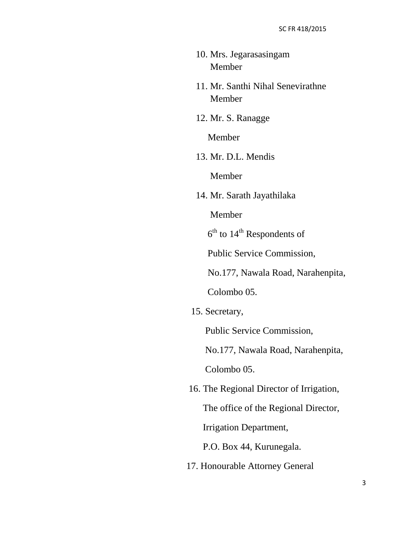- 10. Mrs. Jegarasasingam Member
- 11. Mr. Santhi Nihal Senevirathne Member
- 12. Mr. S. Ranagge

Member

13. Mr. D.L. Mendis

Member

14. Mr. Sarath Jayathilaka

Member

 $\sim$  6  $6<sup>th</sup>$  to  $14<sup>th</sup>$  Respondents of

Public Service Commission,

No.177, Nawala Road, Narahenpita,

Colombo 05.

15. Secretary,

Public Service Commission,

No.177, Nawala Road, Narahenpita,

Colombo 05.

 16. The Regional Director of Irrigation, The office of the Regional Director, Irrigation Department,

P.O. Box 44, Kurunegala.

17. Honourable Attorney General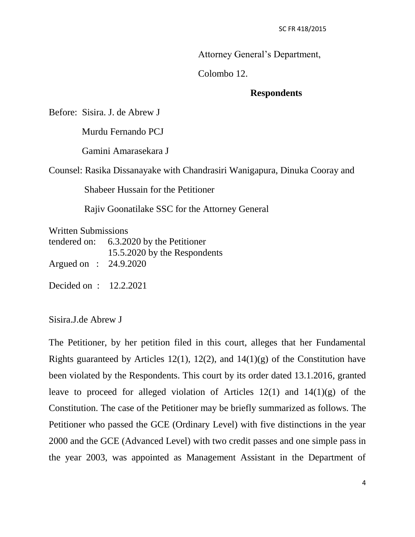Attorney General's Department,

Colombo 12.

## **Respondents**

Before: Sisira. J. de Abrew J

Murdu Fernando PCJ

Gamini Amarasekara J

Counsel: Rasika Dissanayake with Chandrasiri Wanigapura, Dinuka Cooray and

Shabeer Hussain for the Petitioner

Rajiv Goonatilake SSC for the Attorney General

Written Submissions

tendered on: 6.3.2020 by the Petitioner 15.5.2020 by the Respondents Argued on : 24.9.2020

Decided on : 12.2.2021

Sisira.J.de Abrew J

The Petitioner, by her petition filed in this court, alleges that her Fundamental Rights guaranteed by Articles 12(1), 12(2), and  $14(1)(g)$  of the Constitution have been violated by the Respondents. This court by its order dated 13.1.2016, granted leave to proceed for alleged violation of Articles  $12(1)$  and  $14(1)(g)$  of the Constitution. The case of the Petitioner may be briefly summarized as follows. The Petitioner who passed the GCE (Ordinary Level) with five distinctions in the year 2000 and the GCE (Advanced Level) with two credit passes and one simple pass in the year 2003, was appointed as Management Assistant in the Department of

4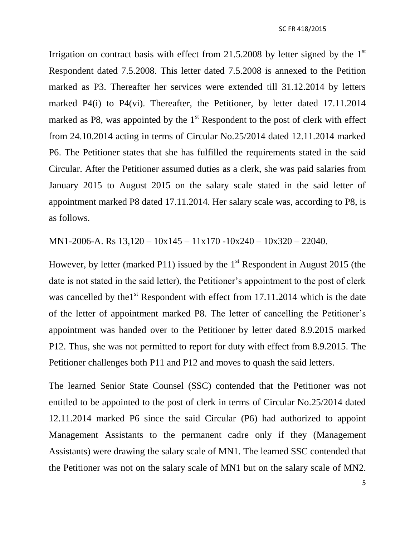Irrigation on contract basis with effect from  $21.5.2008$  by letter signed by the  $1<sup>st</sup>$ Respondent dated 7.5.2008. This letter dated 7.5.2008 is annexed to the Petition marked as P3. Thereafter her services were extended till 31.12.2014 by letters marked P4(i) to P4(vi). Thereafter, the Petitioner, by letter dated 17.11.2014 marked as P8, was appointed by the  $1<sup>st</sup>$  Respondent to the post of clerk with effect from 24.10.2014 acting in terms of Circular No.25/2014 dated 12.11.2014 marked P6. The Petitioner states that she has fulfilled the requirements stated in the said Circular. After the Petitioner assumed duties as a clerk, she was paid salaries from January 2015 to August 2015 on the salary scale stated in the said letter of appointment marked P8 dated 17.11.2014. Her salary scale was, according to P8, is as follows.

MN1-2006-A. Rs 13,120 – 10x145 – 11x170 -10x240 – 10x320 – 22040.

However, by letter (marked P11) issued by the  $1<sup>st</sup>$  Respondent in August 2015 (the date is not stated in the said letter), the Petitioner's appointment to the post of clerk was cancelled by the  $1<sup>st</sup>$  Respondent with effect from 17.11.2014 which is the date of the letter of appointment marked P8. The letter of cancelling the Petitioner's appointment was handed over to the Petitioner by letter dated 8.9.2015 marked P12. Thus, she was not permitted to report for duty with effect from 8.9.2015. The Petitioner challenges both P11 and P12 and moves to quash the said letters.

The learned Senior State Counsel (SSC) contended that the Petitioner was not entitled to be appointed to the post of clerk in terms of Circular No.25/2014 dated 12.11.2014 marked P6 since the said Circular (P6) had authorized to appoint Management Assistants to the permanent cadre only if they (Management Assistants) were drawing the salary scale of MN1. The learned SSC contended that the Petitioner was not on the salary scale of MN1 but on the salary scale of MN2.

5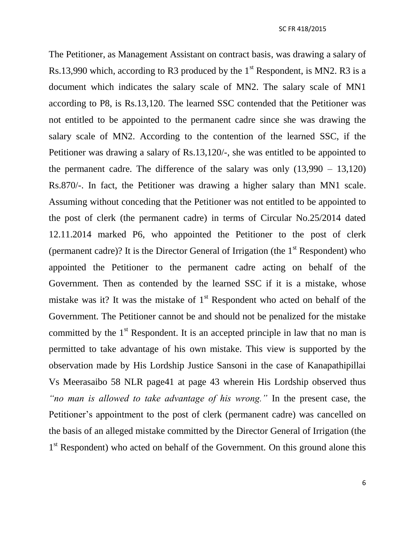The Petitioner, as Management Assistant on contract basis, was drawing a salary of Rs.13,990 which, according to R3 produced by the  $1<sup>st</sup>$  Respondent, is MN2. R3 is a document which indicates the salary scale of MN2. The salary scale of MN1 according to P8, is Rs.13,120. The learned SSC contended that the Petitioner was not entitled to be appointed to the permanent cadre since she was drawing the salary scale of MN2. According to the contention of the learned SSC, if the Petitioner was drawing a salary of Rs.13,120/-, she was entitled to be appointed to the permanent cadre. The difference of the salary was only  $(13,990 - 13,120)$ Rs.870/-. In fact, the Petitioner was drawing a higher salary than MN1 scale. Assuming without conceding that the Petitioner was not entitled to be appointed to the post of clerk (the permanent cadre) in terms of Circular No.25/2014 dated 12.11.2014 marked P6, who appointed the Petitioner to the post of clerk (permanent cadre)? It is the Director General of Irrigation (the  $1<sup>st</sup>$  Respondent) who appointed the Petitioner to the permanent cadre acting on behalf of the Government. Then as contended by the learned SSC if it is a mistake, whose mistake was it? It was the mistake of  $1<sup>st</sup>$  Respondent who acted on behalf of the Government. The Petitioner cannot be and should not be penalized for the mistake committed by the  $1<sup>st</sup>$  Respondent. It is an accepted principle in law that no man is permitted to take advantage of his own mistake. This view is supported by the observation made by His Lordship Justice Sansoni in the case of Kanapathipillai Vs Meerasaibo 58 NLR page41 at page 43 wherein His Lordship observed thus *"no man is allowed to take advantage of his wrong."* In the present case, the Petitioner's appointment to the post of clerk (permanent cadre) was cancelled on the basis of an alleged mistake committed by the Director General of Irrigation (the 1<sup>st</sup> Respondent) who acted on behalf of the Government. On this ground alone this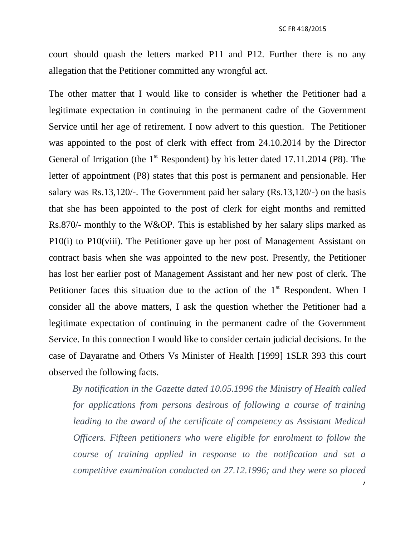court should quash the letters marked P11 and P12. Further there is no any allegation that the Petitioner committed any wrongful act.

The other matter that I would like to consider is whether the Petitioner had a legitimate expectation in continuing in the permanent cadre of the Government Service until her age of retirement. I now advert to this question. The Petitioner was appointed to the post of clerk with effect from 24.10.2014 by the Director General of Irrigation (the  $1<sup>st</sup>$  Respondent) by his letter dated 17.11.2014 (P8). The letter of appointment (P8) states that this post is permanent and pensionable. Her salary was Rs.13,120/-. The Government paid her salary (Rs.13,120/-) on the basis that she has been appointed to the post of clerk for eight months and remitted Rs.870/- monthly to the W&OP. This is established by her salary slips marked as P10(i) to P10(viii). The Petitioner gave up her post of Management Assistant on contract basis when she was appointed to the new post. Presently, the Petitioner has lost her earlier post of Management Assistant and her new post of clerk. The Petitioner faces this situation due to the action of the  $1<sup>st</sup>$  Respondent. When I consider all the above matters, I ask the question whether the Petitioner had a legitimate expectation of continuing in the permanent cadre of the Government Service. In this connection I would like to consider certain judicial decisions. In the case of Dayaratne and Others Vs Minister of Health [1999] 1SLR 393 this court observed the following facts.

 *By notification in the Gazette dated 10.05.1996 the Ministry of Health called for applications from persons desirous of following a course of training leading to the award of the certificate of competency as Assistant Medical Officers. Fifteen petitioners who were eligible for enrolment to follow the course of training applied in response to the notification and sat a competitive examination conducted on 27.12.1996; and they were so placed*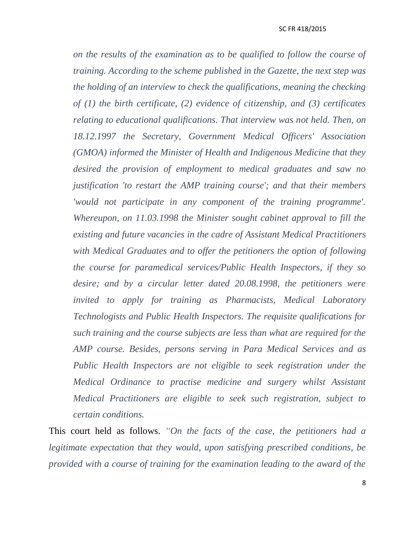### SC FR 418/2015

*on the results of the examination as to be qualified to follow the course of training. According to the scheme published in the Gazette, the next step was the holding of an interview to check the qualifications, meaning the checking of (1) the birth certificate, (2) evidence of citizenship, and (3) certificates relating to educational qualifications. That interview was not held. Then, on 18.12.1997 the Secretary, Government Medical Officers' Association (GMOA) informed the Minister of Health and Indigenous Medicine that they desired the provision of employment to medical graduates and saw no justification 'to restart the AMP training course'; and that their members 'would not participate in any component of the training programme'. Whereupon, on 11.03.1998 the Minister sought cabinet approval to fill the existing and future vacancies in the cadre of Assistant Medical Practitioners with Medical Graduates and to offer the petitioners the option of following the course for paramedical services/Public Health Inspectors, if they so desire; and by a circular letter dated 20.08.1998, the petitioners were invited to apply for training as Pharmacists, Medical Laboratory Technologists and Public Health Inspectors. The requisite qualifications for such training and the course subjects are less than what are required for the AMP course. Besides, persons serving in Para Medical Services and as Public Health Inspectors are not eligible to seek registration under the Medical Ordinance to practise medicine and surgery whilst Assistant Medical Practitioners are eligible to seek such registration, subject to certain conditions.*

This court held as follows. *"On the facts of the case, the petitioners had a legitimate expectation that they would, upon satisfying prescribed conditions, be provided with a course of training for the examination leading to the award of the*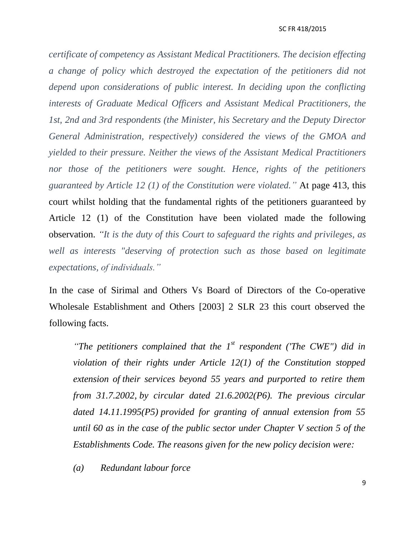### SC FR 418/2015

*certificate of competency as Assistant Medical Practitioners. The decision effecting a change of policy which destroyed the expectation of the petitioners did not depend upon considerations of public interest. In deciding upon the conflicting interests of Graduate Medical Officers and Assistant Medical Practitioners, the 1st, 2nd and 3rd respondents (the Minister, his Secretary and the Deputy Director General Administration, respectively) considered the views of the GMOA and yielded to their pressure. Neither the views of the Assistant Medical Practitioners nor those of the petitioners were sought. Hence, rights of the petitioners guaranteed by Article 12 (1) of the Constitution were violated."* At page 413, this court whilst holding that the fundamental rights of the petitioners guaranteed by Article 12 (1) of the Constitution have been violated made the following observation. *"It is the duty of this Court to safeguard the rights and privileges, as well as interests "deserving of protection such as those based on legitimate expectations, of individuals."* 

In the case of Sirimal and Others Vs Board of Directors of the Co-operative Wholesale Establishment and Others [2003] 2 SLR 23 this court observed the following facts.

"The petitioners complained that the 1<sup>st</sup> respondent ('The CWE'') did in *violation of their rights under Article 12(1) of the Constitution stopped extension of their services beyond 55 years and purported to retire them from 31.7.2002, by circular dated 21.6.2002(P6). The previous circular dated 14.11.1995(P5) provided for granting of annual extension from 55 until 60 as in the case of the public sector under Chapter V section 5 of the Establishments Code. The reasons given for the new policy decision were:*

*(a) Redundant labour force*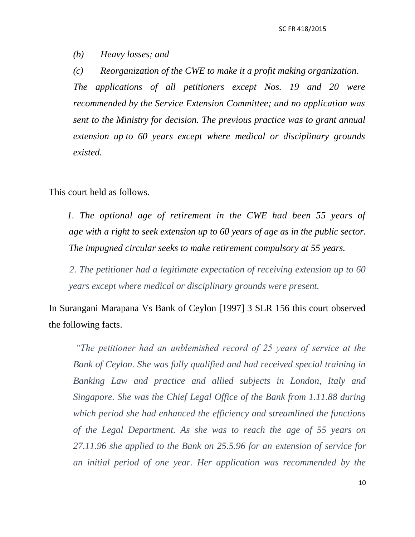*(b) Heavy losses; and*

*(c) Reorganization of the CWE to make it a profit making organization.*

*The applications of all petitioners except Nos. 19 and 20 were recommended by the Service Extension Committee; and no application was sent to the Ministry for decision. The previous practice was to grant annual extension up to 60 years except where medical or disciplinary grounds existed.*

This court held as follows.

*1. The optional age of retirement in the CWE had been 55 years of age with a right to seek extension up to 60 years of age as in the public sector. The impugned circular seeks to make retirement compulsory at 55 years.*

*2. The petitioner had a legitimate expectation of receiving extension up to 60 years except where medical or disciplinary grounds were present.*

In Surangani Marapana Vs Bank of Ceylon [1997] 3 SLR 156 this court observed the following facts.

*"The petitioner had an unblemished record of 25 years of service at the Bank of Ceylon. She was fully qualified and had received special training in Banking Law and practice and allied subjects in London, Italy and Singapore. She was the Chief Legal Office of the Bank from 1.11.88 during which period she had enhanced the efficiency and streamlined the functions of the Legal Department. As she was to reach the age of 55 years on 27.11.96 she applied to the Bank on 25.5.96 for an extension of service for an initial period of one year. Her application was recommended by the*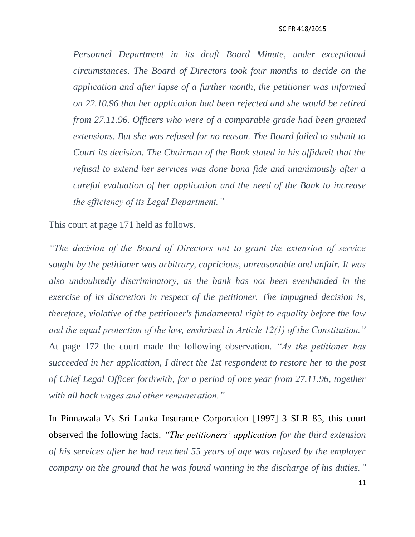#### SC FR 418/2015

*Personnel Department in its draft Board Minute, under exceptional circumstances. The Board of Directors took four months to decide on the application and after lapse of a further month, the petitioner was informed on 22.10.96 that her application had been rejected and she would be retired from 27.11.96. Officers who were of a comparable grade had been granted extensions. But she was refused for no reason. The Board failed to submit to Court its decision. The Chairman of the Bank stated in his affidavit that the refusal to extend her services was done bona fide and unanimously after a careful evaluation of her application and the need of the Bank to increase the efficiency of its Legal Department."*

This court at page 171 held as follows.

*"The decision of the Board of Directors not to grant the extension of service sought by the petitioner was arbitrary, capricious, unreasonable and unfair. It was also undoubtedly discriminatory, as the bank has not been evenhanded in the exercise of its discretion in respect of the petitioner. The impugned decision is, therefore, violative of the petitioner's fundamental right to equality before the law and the equal protection of the law, enshrined in Article 12(1) of the Constitution."* At page 172 the court made the following observation. *"As the petitioner has succeeded in her application, I direct the 1st respondent to restore her to the post of Chief Legal Officer forthwith, for a period of one year from 27.11.96, together with all back wages and other remuneration."*

In Pinnawala Vs Sri Lanka Insurance Corporation [1997] 3 SLR 85, this court observed the following facts. *"The petitioners" application for the third extension of his services after he had reached 55 years of age was refused by the employer company on the ground that he was found wanting in the discharge of his duties."*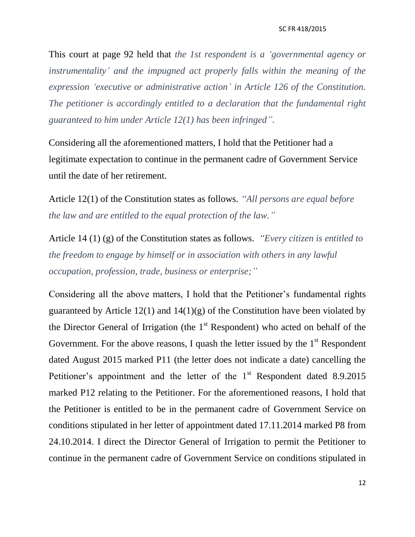This court at page 92 held that *the 1st respondent is a "governmental agency or instrumentality" and the impugned act properly falls within the meaning of the expression "executive or administrative action" in Article 126 of the Constitution. The petitioner is accordingly entitled to a declaration that the fundamental right guaranteed to him under Article 12(1) has been infringed".*

Considering all the aforementioned matters, I hold that the Petitioner had a legitimate expectation to continue in the permanent cadre of Government Service until the date of her retirement.

Article 12(1) of the Constitution states as follows. *"All persons are equal before the law and are entitled to the equal protection of the law."*

Article 14 (1) (g) of the Constitution states as follows. *"Every citizen is entitled to the freedom to engage by himself or in association with others in any lawful occupation, profession, trade, business or enterprise;"*

Considering all the above matters, I hold that the Petitioner's fundamental rights guaranteed by Article 12(1) and  $14(1)(g)$  of the Constitution have been violated by the Director General of Irrigation (the  $1<sup>st</sup>$  Respondent) who acted on behalf of the Government. For the above reasons, I quash the letter issued by the  $1<sup>st</sup>$  Respondent dated August 2015 marked P11 (the letter does not indicate a date) cancelling the Petitioner's appointment and the letter of the  $1<sup>st</sup>$  Respondent dated 8.9.2015 marked P12 relating to the Petitioner. For the aforementioned reasons, I hold that the Petitioner is entitled to be in the permanent cadre of Government Service on conditions stipulated in her letter of appointment dated 17.11.2014 marked P8 from 24.10.2014. I direct the Director General of Irrigation to permit the Petitioner to continue in the permanent cadre of Government Service on conditions stipulated in